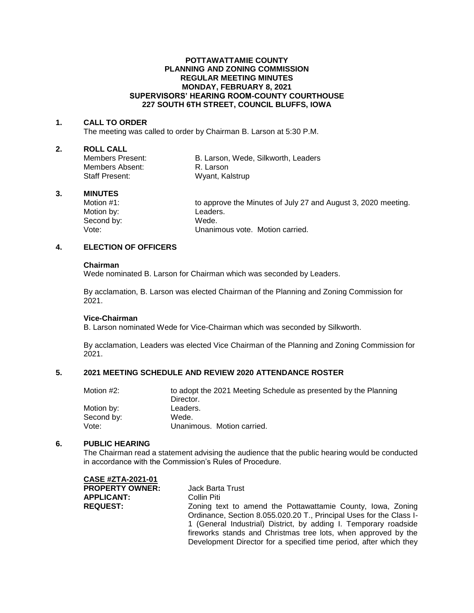#### **POTTAWATTAMIE COUNTY PLANNING AND ZONING COMMISSION REGULAR MEETING MINUTES MONDAY, FEBRUARY 8, 2021 SUPERVISORS' HEARING ROOM-COUNTY COURTHOUSE 227 SOUTH 6TH STREET, COUNCIL BLUFFS, IOWA**

#### **1. CALL TO ORDER**

The meeting was called to order by Chairman B. Larson at 5:30 P.M.

# **2. ROLL CALL**

Members Absent: R. Larson Staff Present: Wyant, Kalstrup

B. Larson, Wede, Silkworth, Leaders

## **3. MINUTES**

Motion by: Leaders. Second by: Wede.<br>Vote: Unanim

Motion #1: to approve the Minutes of July 27 and August 3, 2020 meeting. Unanimous vote. Motion carried.

# **4. ELECTION OF OFFICERS**

#### **Chairman**

Wede nominated B. Larson for Chairman which was seconded by Leaders.

By acclamation, B. Larson was elected Chairman of the Planning and Zoning Commission for 2021.

## **Vice-Chairman**

B. Larson nominated Wede for Vice-Chairman which was seconded by Silkworth.

By acclamation, Leaders was elected Vice Chairman of the Planning and Zoning Commission for 2021.

## **5. 2021 MEETING SCHEDULE AND REVIEW 2020 ATTENDANCE ROSTER**

| Motion #2: | to adopt the 2021 Meeting Schedule as presented by the Planning |
|------------|-----------------------------------------------------------------|
|            | Director.                                                       |
| Motion by: | Leaders.                                                        |
| Second by: | Wede.                                                           |
| Vote:      | Unanimous. Motion carried.                                      |

#### **6. PUBLIC HEARING**

The Chairman read a statement advising the audience that the public hearing would be conducted in accordance with the Commission's Rules of Procedure.

| CASE #ZTA-2021-01      |                                                                     |
|------------------------|---------------------------------------------------------------------|
| <b>PROPERTY OWNER:</b> | Jack Barta Trust                                                    |
| <b>APPLICANT:</b>      | Collin Piti                                                         |
| <b>REQUEST:</b>        | Zoning text to amend the Pottawattamie County, Iowa, Zoning         |
|                        | Ordinance, Section 8.055.020.20 T., Principal Uses for the Class I- |
|                        | 1 (General Industrial) District, by adding I. Temporary roadside    |
|                        | fireworks stands and Christmas tree lots, when approved by the      |
|                        | Development Director for a specified time period, after which they  |